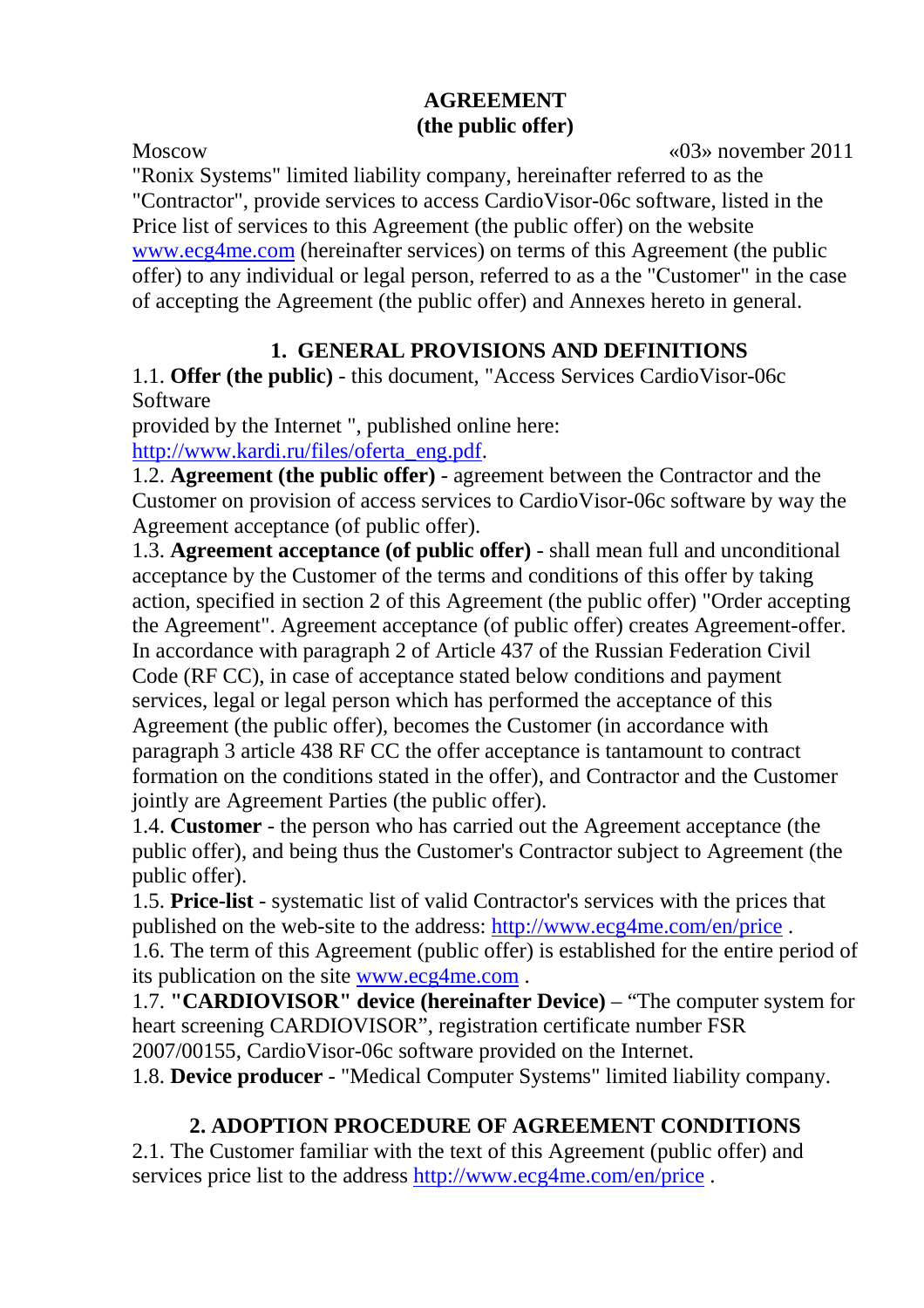### **AGREEMENT (the public offer)**

Moscow «03» november 2011

"Ronix Systems" limited liability company, hereinafter referred to as the "Contractor", provide services to access CardioVisor-06c software, listed in the Price list of services to this Agreement (the public offer) on the website www.ecg4me.com (hereinafter services) on terms of this Agreement (the public offer) to any individual or legal person, referred to as a the "Сustomer" in the case of accepting the Agreement (the public offer) and Annexes hereto in general.

## **1. GENERAL PROVISIONS AND DEFINITIONS**

1.1. **Offer (the public)** - this document, "Access Services CardioVisor-06c Software

provided by the Internet ", published online here:

http://www.kardi.ru/files/oferta\_eng.pdf.

1.2. **Agreement (the public offer)** - agreement between the Contractor and the Customer on provision of access services to CardioVisor-06c software by way the Agreement acceptance (of public offer).

1.3. **Agreement acceptance (of public offer)** - shall mean full and unconditional acceptance by the Customer of the terms and conditions of this offer by taking action, specified in section 2 of this Agreement (the public offer) "Order accepting the Agreement". Agreement acceptance (of public offer) creates Agreement-offer. In accordance with paragraph 2 of Article 437 of the Russian Federation Civil Code (RF CC), in case of acceptance stated below conditions and payment services, legal or legal person which has performed the acceptance of this Agreement (the public offer), becomes the Customer (in accordance with paragraph 3 article 438 RF CC the offer acceptance is tantamount to contract formation on the conditions stated in the offer), and Contractor and the Customer jointly are Agreement Parties (the public offer).

1.4. **Сustomer** - the person who has carried out the Agreement acceptance (the public offer), and being thus the Customer's Contractor subject to Agreement (the public offer).

1.5. **Price-list** - systematic list of valid Contractor's services with the prices that published on the web-site to the address: http://www.ecg4me.com/en/price .

1.6. The term of this Agreement (public offer) is established for the entire period of its publication on the site www.ecg4me.com .

1.7. **"CARDIOVISOR" device (hereinafter Device)** – "The computer system for heart screening CARDIOVISOR", registration certificate number FSR 2007/00155, CardioVisor-06c software provided on the Internet.

1.8. **Device producer** - "Medical Computer Systems" limited liability company.

## **2. ADOPTION PROCEDURE OF AGREEMENT CONDITIONS**

2.1. The Customer familiar with the text of this Agreement (public offer) and services price list to the address http://www.ecg4me.com/en/price.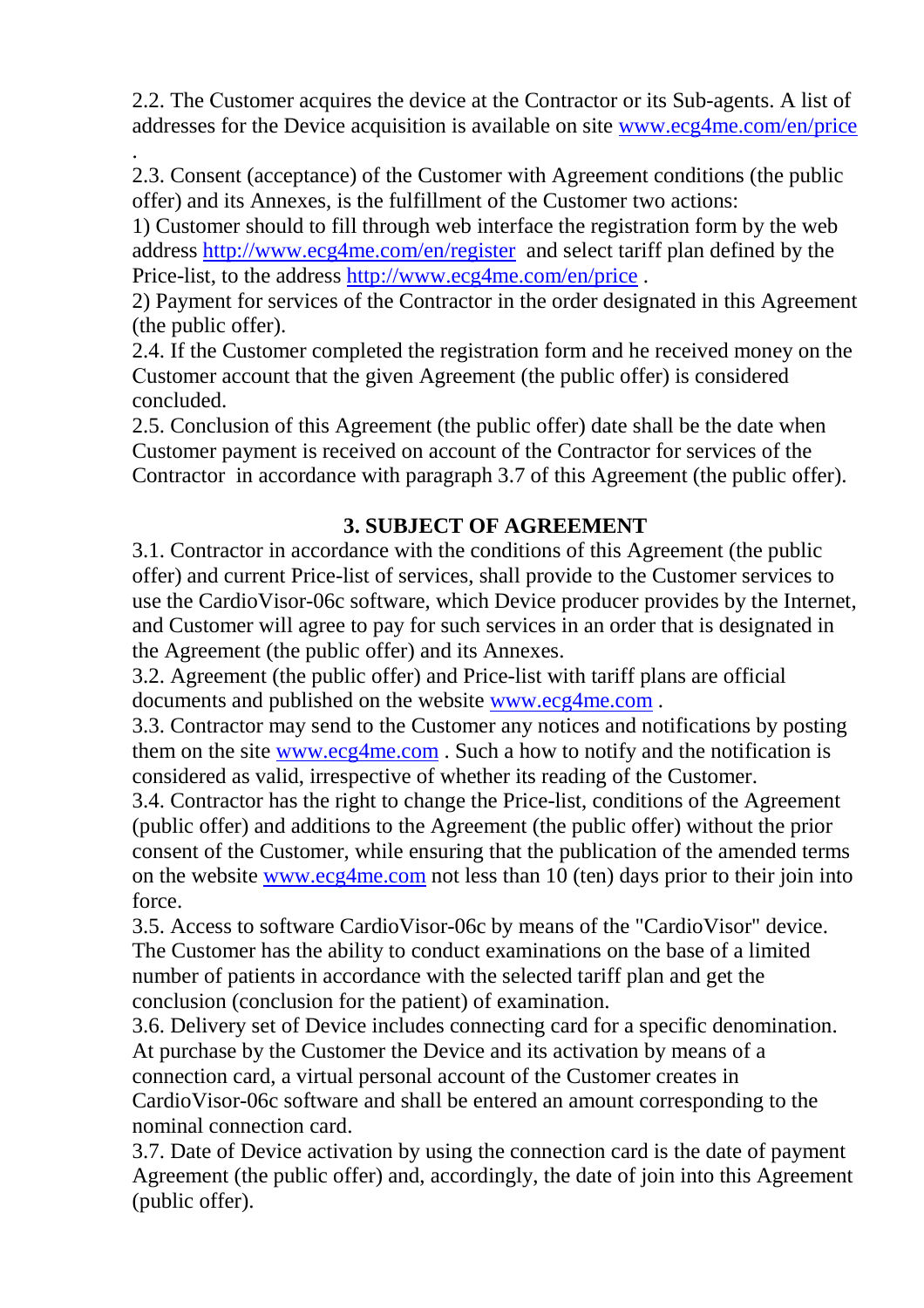2.2. The Сustomer acquires the device at the Contractor or its Sub-agents. A list of addresses for the Device acquisition is available on site www.ecg4me.com/en/price

. 2.3. Consent (acceptance) of the Customer with Agreement conditions (the public offer) and its Annexes, is the fulfillment of the Customer two actions:

1) Customer should to fill through web interface the registration form by the web address http://www.ecg4me.com/en/register and select tariff plan defined by the Price-list, to the address http://www.ecg4me.com/en/price .

2) Payment for services of the Contractor in the order designated in this Agreement (the public offer).

2.4. If the Customer completed the registration form and he received money on the Сustomer account that the given Agreement (the public offer) is considered concluded.

2.5. Conclusion of this Agreement (the public offer) date shall be the date when Customer payment is received on account of the Contractor for services of the Contractor in accordance with paragraph 3.7 of this Agreement (the public offer).

### **3. SUBJECT OF AGREEMENT**

3.1. Contractor in accordance with the conditions of this Agreement (the public offer) and current Price-list of services, shall provide to the Customer services to use the CardioVisor-06c software, which Device producer provides by the Internet, and Customer will agree to pay for such services in an order that is designated in the Agreement (the public offer) and its Annexes.

3.2. Agreement (the public offer) and Price-list with tariff plans are official documents and published on the website www.ecg4me.com .

3.3. Contractor may send to the Customer any notices and notifications by posting them on the site www.ecg4me.com . Such a how to notify and the notification is considered as valid, irrespective of whether its reading of the Customer.

3.4. Contractor has the right to change the Price-list, conditions of the Agreement (public offer) and additions to the Agreement (the public offer) without the prior consent of the Customer, while ensuring that the publication of the amended terms on the website www.ecg4me.com not less than 10 (ten) days prior to their join into force.

3.5. Access to software CardioVisor-06c by means of the "CardioVisor" device. The Customer has the ability to conduct examinations on the base of a limited number of patients in accordance with the selected tariff plan and get the conclusion (conclusion for the patient) of examination.

3.6. Delivery set of Device includes connecting card for a specific denomination. At purchase by the Customer the Device and its activation by means of a connection card, a virtual personal account of the Customer creates in CardioVisor-06c software and shall be entered an amount corresponding to the nominal connection card.

3.7. Date of Device activation by using the connection card is the date of payment Agreement (the public offer) and, accordingly, the date of join into this Agreement (public offer).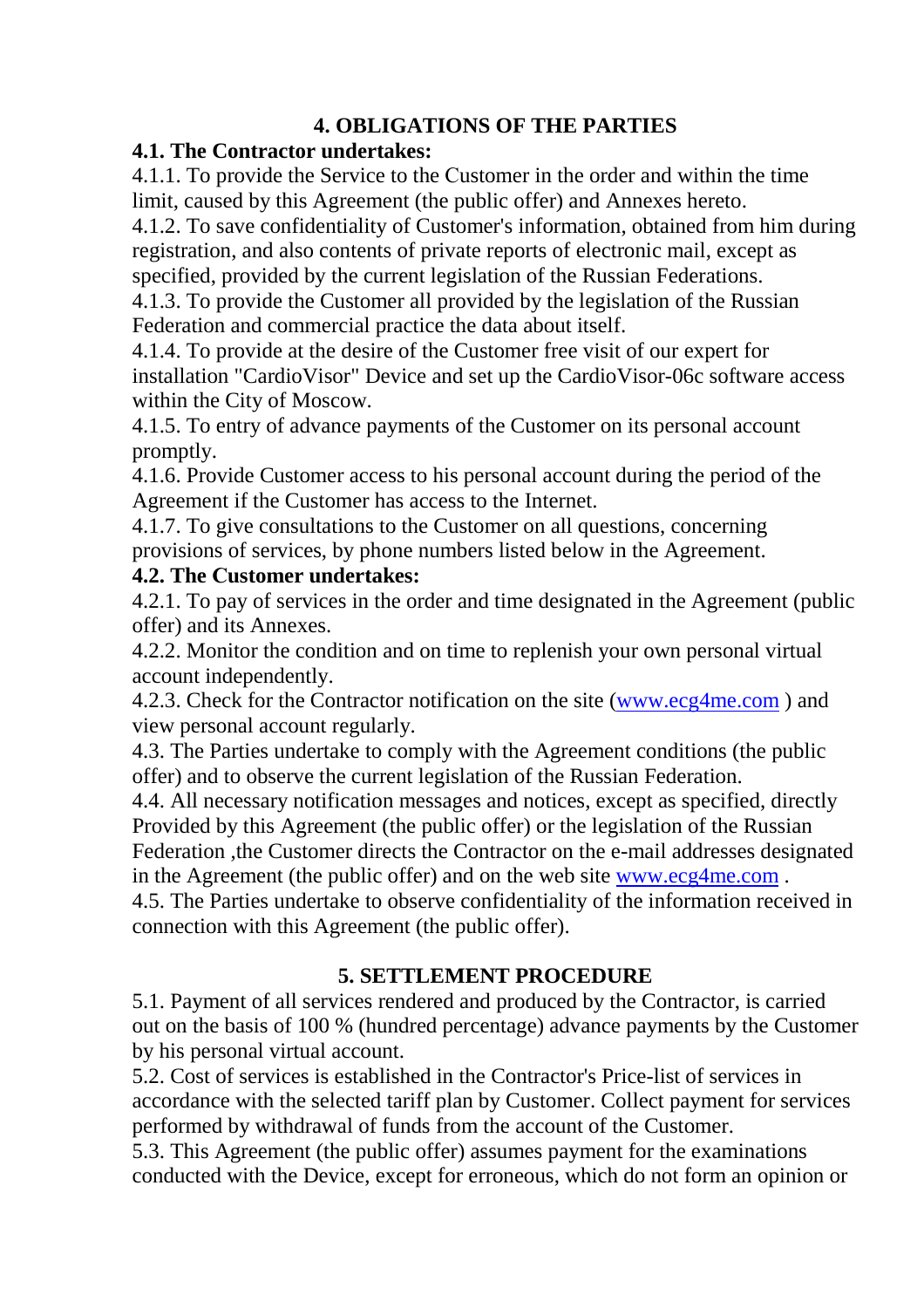### **4. OBLIGATIONS OF THE PARTIES**

#### **4.1. The Contractor undertakes:**

4.1.1. To provide the Service to the Сustomer in the order and within the time limit, caused by this Agreement (the public offer) and Annexes hereto.

4.1.2. To save confidentiality of Customer's information, obtained from him during registration, and also contents of private reports of electronic mail, except as specified, provided by the current legislation of the Russian Federations.

4.1.3. To provide the Customer all provided by the legislation of the Russian Federation and commercial practice the data about itself.

4.1.4. To provide at the desire of the Customer free visit of our expert for installation "CardioVisor" Device and set up the CardioVisor-06c software access within the City of Moscow.

4.1.5. To entry of advance payments of the Customer on its personal account promptly.

4.1.6. Provide Customer access to his personal account during the period of the Agreement if the Customer has access to the Internet.

4.1.7. To give consultations to the Customer on all questions, concerning provisions of services, by phone numbers listed below in the Agreement.

#### **4.2. The Сustomer undertakes:**

4.2.1. To pay of services in the order and time designated in the Agreement (public offer) and its Annexes.

4.2.2. Monitor the condition and on time to replenish your own personal virtual account independently.

4.2.3. Check for the Contractor notification on the site (www.ecg4me.com ) and view personal account regularly.

4.3. The Parties undertake to comply with the Agreement conditions (the public offer) and to observe the current legislation of the Russian Federation.

4.4. All necessary notification messages and notices, except as specified, directly Provided by this Agreement (the public offer) or the legislation of the Russian Federation ,the Customer directs the Contractor on the e-mail addresses designated in the Agreement (the public offer) and on the web site www.ecg4me.com .

4.5. The Parties undertake to observe confidentiality of the information received in connection with this Agreement (the public offer).

## **5. SETTLEMENT PROCEDURE**

5.1. Payment of all services rendered and produced by the Contractor, is carried out on the basis of 100 % (hundred percentage) advance payments by the Customer by his personal virtual account.

5.2. Cost of services is established in the Contractor's Price-list of services in accordance with the selected tariff plan by Customer. Collect payment for services performed by withdrawal of funds from the account of the Customer.

5.3. This Agreement (the public offer) assumes payment for the examinations conducted with the Device, except for erroneous, which do not form an opinion or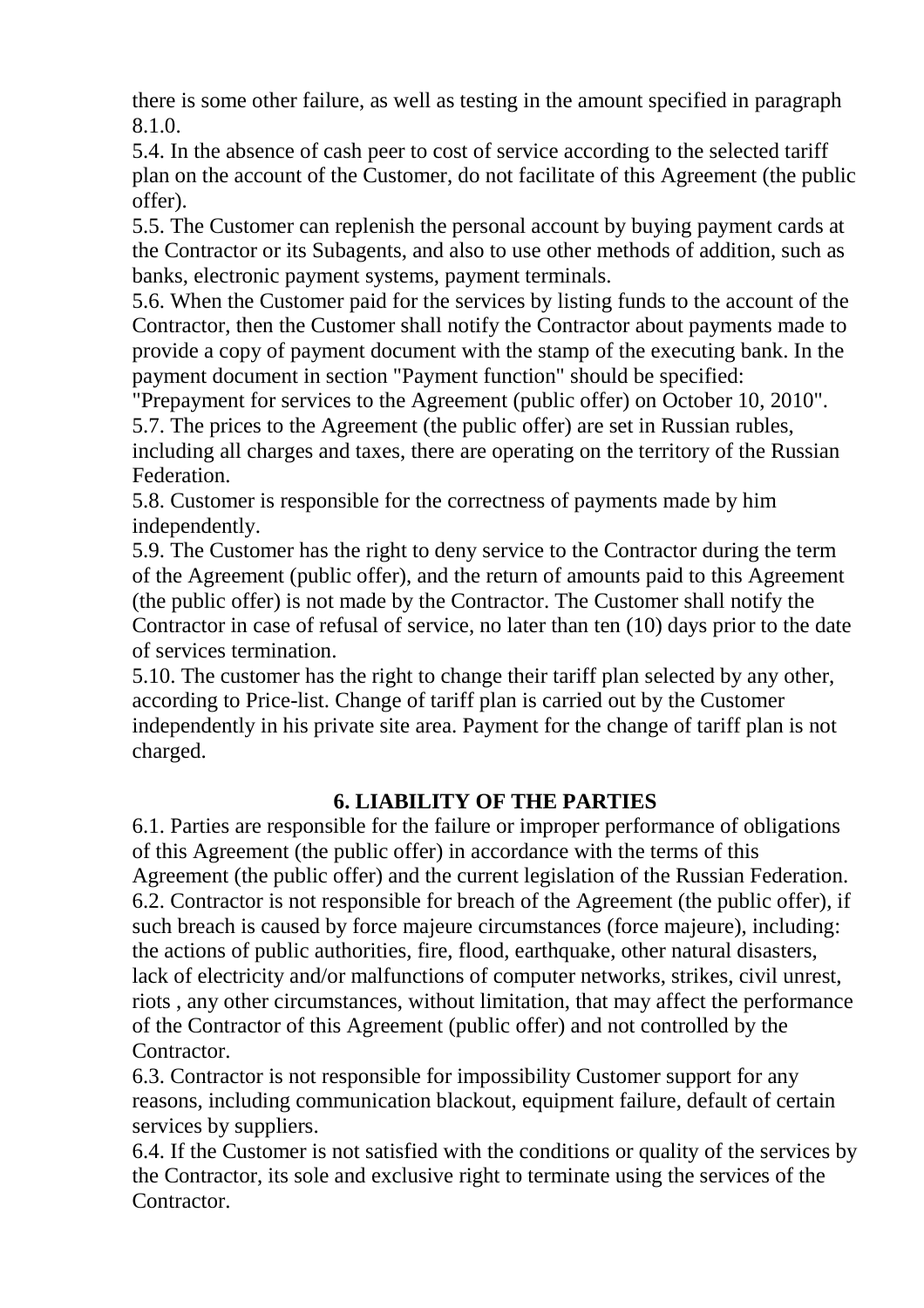there is some other failure, as well as testing in the amount specified in paragraph 8.1.0.

5.4. In the absence of cash peer to cost of service according to the selected tariff plan on the account of the Customer, do not facilitate of this Agreement (the public offer).

5.5. The Customer can replenish the personal account by buying payment cards at the Contractor or its Subagents, and also to use other methods of addition, such as banks, electronic payment systems, payment terminals.

5.6. When the Customer paid for the services by listing funds to the account of the Contractor, then the Customer shall notify the Contractor about payments made to provide a copy of payment document with the stamp of the executing bank. In the payment document in section "Payment function" should be specified:

"Prepayment for services to the Agreement (public offer) on October 10, 2010". 5.7. The prices to the Agreement (the public offer) are set in Russian rubles,

including all charges and taxes, there are operating on the territory of the Russian Federation.

5.8. Customer is responsible for the correctness of payments made by him independently.

5.9. The Customer has the right to deny service to the Contractor during the term of the Agreement (public offer), and the return of amounts paid to this Agreement (the public offer) is not made by the Contractor. The Customer shall notify the Contractor in case of refusal of service, no later than ten (10) days prior to the date of services termination.

5.10. The customer has the right to change their tariff plan selected by any other, according to Price-list. Change of tariff plan is carried out by the Customer independently in his private site area. Payment for the change of tariff plan is not charged.

## **6. LIABILITY OF THE PARTIES**

6.1. Parties are responsible for the failure or improper performance of obligations of this Agreement (the public offer) in accordance with the terms of this Agreement (the public offer) and the current legislation of the Russian Federation. 6.2. Contractor is not responsible for breach of the Agreement (the public offer), if such breach is caused by force majeure circumstances (force majeure), including: the actions of public authorities, fire, flood, earthquake, other natural disasters, lack of electricity and/or malfunctions of computer networks, strikes, civil unrest, riots , any other circumstances, without limitation, that may affect the performance of the Contractor of this Agreement (public offer) and not controlled by the **Contractor** 

6.3. Contractor is not responsible for impossibility Customer support for any reasons, including communication blackout, equipment failure, default of certain services by suppliers.

6.4. If the Customer is not satisfied with the conditions or quality of the services by the Contractor, its sole and exclusive right to terminate using the services of the Contractor.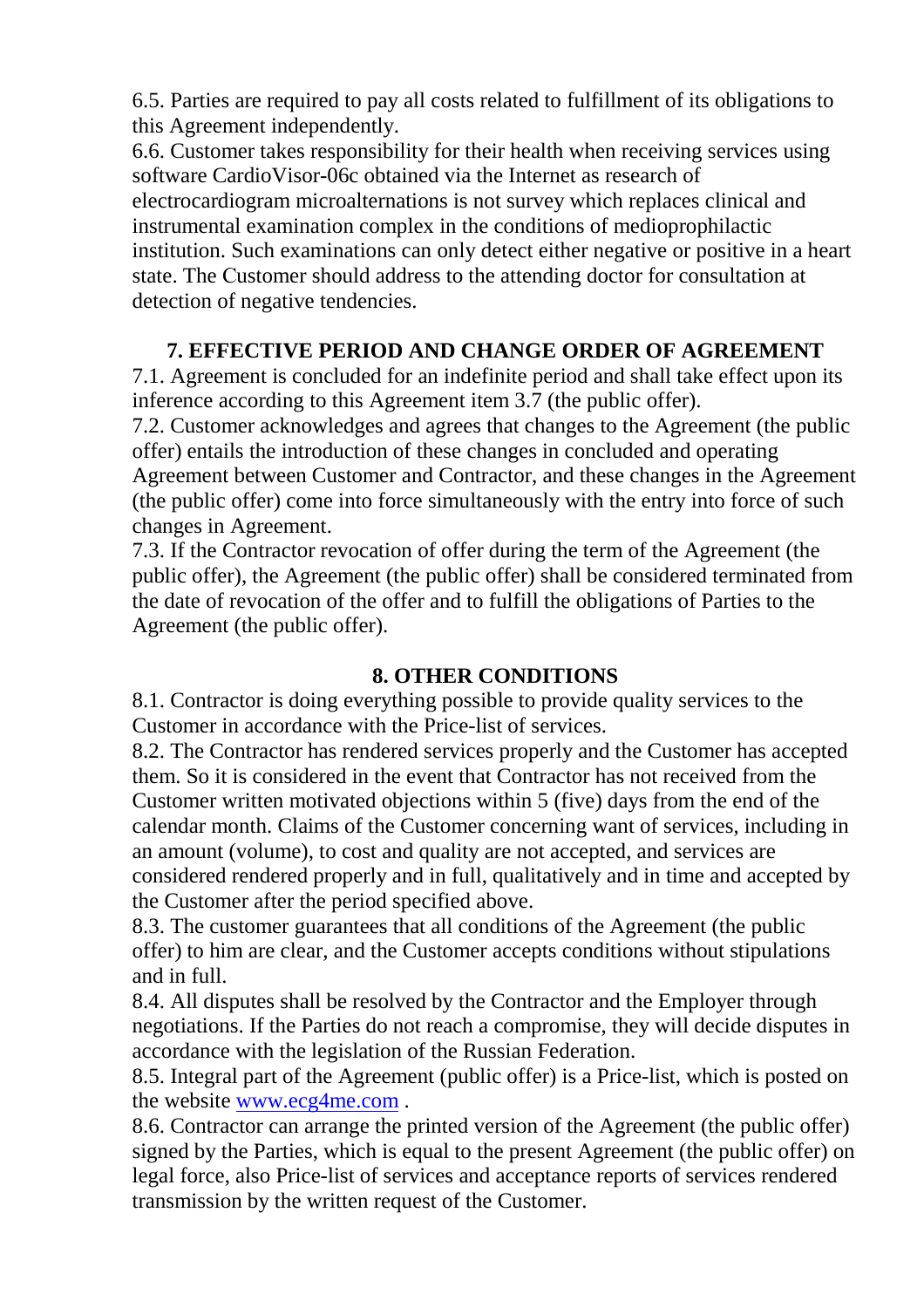6.5. Parties are required to pay all costs related to fulfillment of its obligations to this Agreement independently.

6.6. Customer takes responsibility for their health when receiving services using software CardioVisor-06c obtained via the Internet as research of electrocardiogram microalternations is not survey which replaces clinical and instrumental examination complex in the conditions of medioprophilactic institution. Such examinations can only detect either negative or positive in a heart state. The Сustomer should address to the attending doctor for consultation at detection of negative tendencies.

# **7. EFFECTIVE PERIOD AND CHANGE ORDER OF AGREEMENT**

7.1. Agreement is concluded for an indefinite period and shall take effect upon its inference according to this Agreement item 3.7 (the public offer).

7.2. Customer acknowledges and agrees that changes to the Agreement (the public offer) entails the introduction of these changes in concluded and operating Agreement between Customer and Contractor, and these changes in the Agreement (the public offer) come into force simultaneously with the entry into force of such changes in Agreement.

7.3. If the Contractor revocation of offer during the term of the Agreement (the public offer), the Agreement (the public offer) shall be considered terminated from the date of revocation of the offer and to fulfill the obligations of Parties to the Agreement (the public offer).

#### **8. OTHER CONDITIONS**

8.1. Contractor is doing everything possible to provide quality services to the Customer in accordance with the Price-list of services.

8.2. The Contractor has rendered services properly and the Customer has accepted them. So it is considered in the event that Contractor has not received from the Customer written motivated objections within 5 (five) days from the end of the calendar month. Claims of the Customer concerning want of services, including in an amount (volume), to cost and quality are not accepted, and services are considered rendered properly and in full, qualitatively and in time and accepted by the Customer after the period specified above.

8.3. The customer guarantees that all conditions of the Agreement (the public offer) to him are clear, and the Customer accepts conditions without stipulations and in full.

8.4. All disputes shall be resolved by the Contractor and the Employer through negotiations. If the Parties do not reach a compromise, they will decide disputes in accordance with the legislation of the Russian Federation.

8.5. Integral part of the Agreement (public offer) is a Price-list, which is posted on the website www.ecg4me.com .

8.6. Contractor can arrange the printed version of the Agreement (the public offer) signed by the Parties, which is equal to the present Agreement (the public offer) on legal force, also Price-list of services and acceptance reports of services rendered transmission by the written request of the Customer.